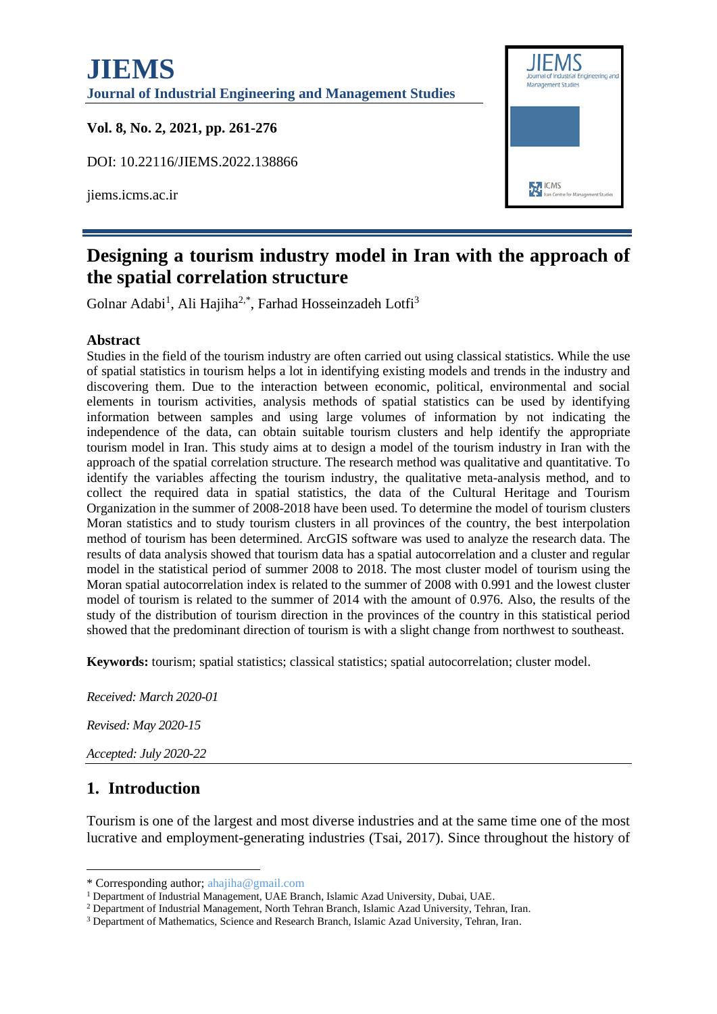# **JIEMS Journal of Industrial Engineering and Management Studies Vol. 8, No. 2, 2021, pp. 261-276** DOI: 10.22116/JIEMS.2022.138866 **M** ICMS jiems.icms.ac.ir



## **Designing a tourism industry model in Iran with the approach of the spatial correlation structure**

Golnar Adabi<sup>1</sup>, Ali Hajiha<sup>2,\*</sup>, Farhad Hosseinzadeh Lotfi<sup>3</sup>

#### **Abstract**

Studies in the field of the tourism industry are often carried out using classical statistics. While the use of spatial statistics in tourism helps a lot in identifying existing models and trends in the industry and discovering them. Due to the interaction between economic, political, environmental and social elements in tourism activities, analysis methods of spatial statistics can be used by identifying information between samples and using large volumes of information by not indicating the independence of the data, can obtain suitable tourism clusters and help identify the appropriate tourism model in Iran. This study aims at to design a model of the tourism industry in Iran with the approach of the spatial correlation structure. The research method was qualitative and quantitative. To identify the variables affecting the tourism industry, the qualitative meta-analysis method, and to collect the required data in spatial statistics, the data of the Cultural Heritage and Tourism Organization in the summer of 2008-2018 have been used. To determine the model of tourism clusters Moran statistics and to study tourism clusters in all provinces of the country, the best interpolation method of tourism has been determined. ArcGIS software was used to analyze the research data. The results of data analysis showed that tourism data has a spatial autocorrelation and a cluster and regular model in the statistical period of summer 2008 to 2018. The most cluster model of tourism using the Moran spatial autocorrelation index is related to the summer of 2008 with 0.991 and the lowest cluster model of tourism is related to the summer of 2014 with the amount of 0.976. Also, the results of the study of the distribution of tourism direction in the provinces of the country in this statistical period showed that the predominant direction of tourism is with a slight change from northwest to southeast.

**Keywords:** tourism; spatial statistics; classical statistics; spatial autocorrelation; cluster model.

*Received: March 2020-01 Revised: May 2020-15 Accepted: July 2020-22*

## **1. Introduction**

Tourism is one of the largest and most diverse industries and at the same time one of the most lucrative and employment-generating industries (Tsai, 2017). Since throughout the history of

<sup>\*</sup> Corresponding author; ahajiha@gmail.com

<sup>&</sup>lt;sup>1</sup> Department of Industrial Management, UAE Branch, Islamic Azad University, Dubai, UAE.

<sup>2</sup> Department of Industrial Management, North Tehran Branch, Islamic Azad University, Tehran, Iran.

<sup>3</sup> Department of Mathematics, Science and Research Branch, Islamic Azad University, Tehran, Iran.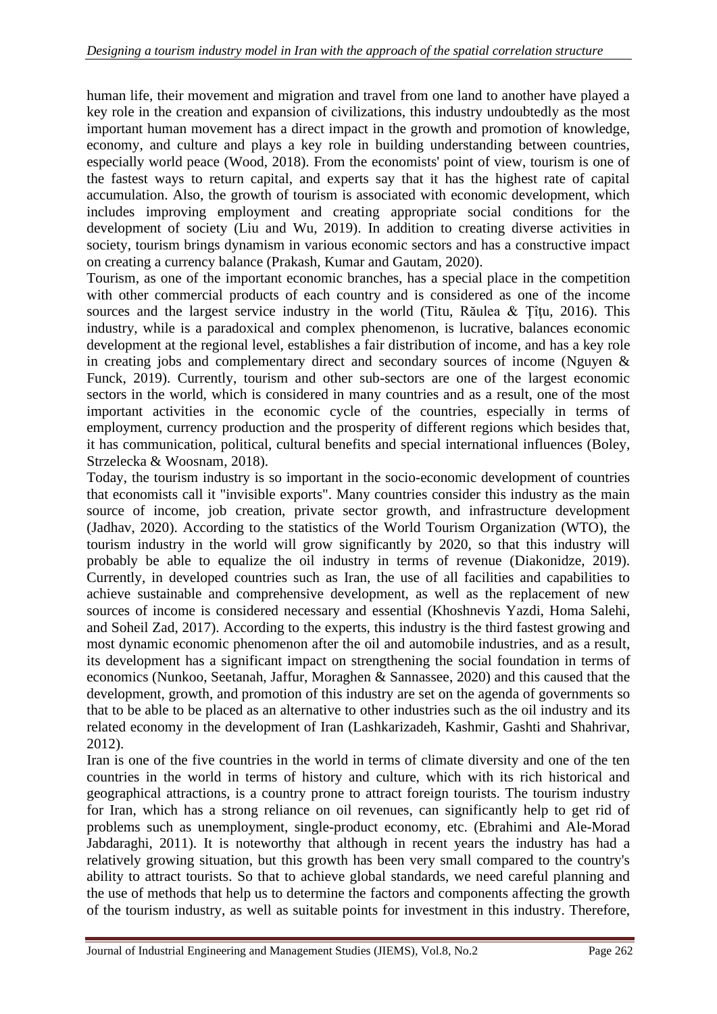human life, their movement and migration and travel from one land to another have played a key role in the creation and expansion of civilizations, this industry undoubtedly as the most important human movement has a direct impact in the growth and promotion of knowledge, economy, and culture and plays a key role in building understanding between countries, especially world peace (Wood, 2018). From the economists' point of view, tourism is one of the fastest ways to return capital, and experts say that it has the highest rate of capital accumulation. Also, the growth of tourism is associated with economic development, which includes improving employment and creating appropriate social conditions for the development of society (Liu and Wu, 2019). In addition to creating diverse activities in society, tourism brings dynamism in various economic sectors and has a constructive impact on creating a currency balance (Prakash, Kumar and Gautam, 2020).

Tourism, as one of the important economic branches, has a special place in the competition with other commercial products of each country and is considered as one of the income sources and the largest service industry in the world (Titu, Răulea & Tîtu, 2016). This industry, while is a paradoxical and complex phenomenon, is lucrative, balances economic development at the regional level, establishes a fair distribution of income, and has a key role in creating jobs and complementary direct and secondary sources of income (Nguyen & Funck, 2019). Currently, tourism and other sub-sectors are one of the largest economic sectors in the world, which is considered in many countries and as a result, one of the most important activities in the economic cycle of the countries, especially in terms of employment, currency production and the prosperity of different regions which besides that, it has communication, political, cultural benefits and special international influences (Boley, Strzelecka & Woosnam, 2018).

Today, the tourism industry is so important in the socio-economic development of countries that economists call it "invisible exports". Many countries consider this industry as the main source of income, job creation, private sector growth, and infrastructure development (Jadhav, 2020). According to the statistics of the World Tourism Organization (WTO), the tourism industry in the world will grow significantly by 2020, so that this industry will probably be able to equalize the oil industry in terms of revenue (Diakonidze, 2019). Currently, in developed countries such as Iran, the use of all facilities and capabilities to achieve sustainable and comprehensive development, as well as the replacement of new sources of income is considered necessary and essential (Khoshnevis Yazdi, Homa Salehi, and Soheil Zad, 2017). According to the experts, this industry is the third fastest growing and most dynamic economic phenomenon after the oil and automobile industries, and as a result, its development has a significant impact on strengthening the social foundation in terms of economics (Nunkoo, Seetanah, Jaffur, Moraghen & Sannassee, 2020) and this caused that the development, growth, and promotion of this industry are set on the agenda of governments so that to be able to be placed as an alternative to other industries such as the oil industry and its related economy in the development of Iran (Lashkarizadeh, Kashmir, Gashti and Shahrivar, 2012).

Iran is one of the five countries in the world in terms of climate diversity and one of the ten countries in the world in terms of history and culture, which with its rich historical and geographical attractions, is a country prone to attract foreign tourists. The tourism industry for Iran, which has a strong reliance on oil revenues, can significantly help to get rid of problems such as unemployment, single-product economy, etc. (Ebrahimi and Ale-Morad Jabdaraghi, 2011). It is noteworthy that although in recent years the industry has had a relatively growing situation, but this growth has been very small compared to the country's ability to attract tourists. So that to achieve global standards, we need careful planning and the use of methods that help us to determine the factors and components affecting the growth of the tourism industry, as well as suitable points for investment in this industry. Therefore,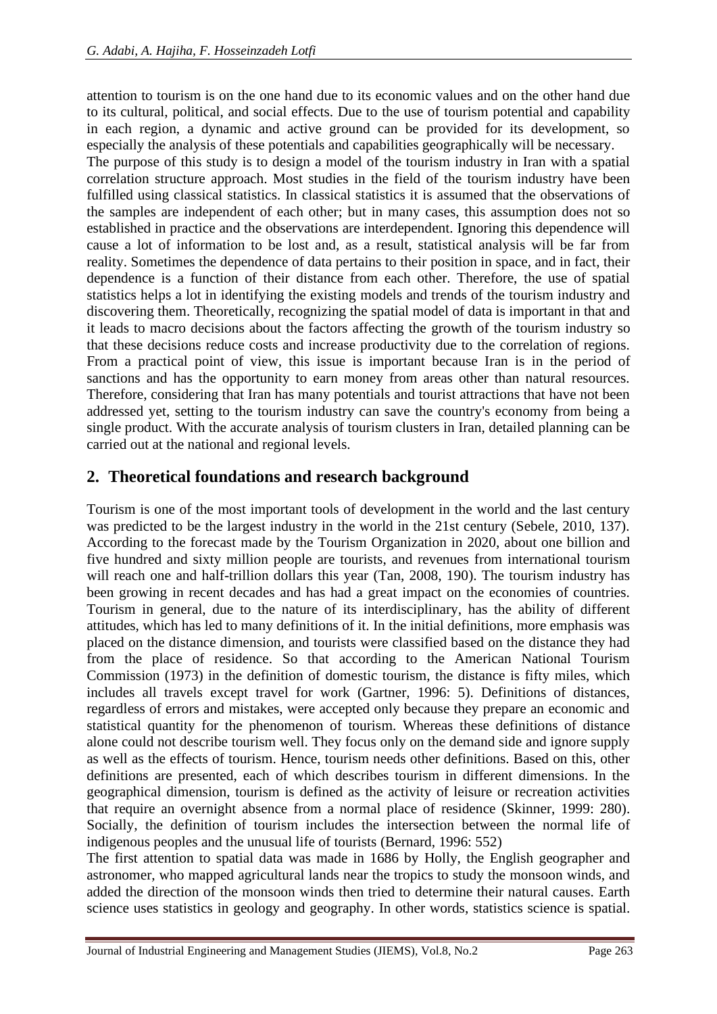attention to tourism is on the one hand due to its economic values and on the other hand due to its cultural, political, and social effects. Due to the use of tourism potential and capability in each region, a dynamic and active ground can be provided for its development, so especially the analysis of these potentials and capabilities geographically will be necessary.

The purpose of this study is to design a model of the tourism industry in Iran with a spatial correlation structure approach. Most studies in the field of the tourism industry have been fulfilled using classical statistics. In classical statistics it is assumed that the observations of the samples are independent of each other; but in many cases, this assumption does not so established in practice and the observations are interdependent. Ignoring this dependence will cause a lot of information to be lost and, as a result, statistical analysis will be far from reality. Sometimes the dependence of data pertains to their position in space, and in fact, their dependence is a function of their distance from each other. Therefore, the use of spatial statistics helps a lot in identifying the existing models and trends of the tourism industry and discovering them. Theoretically, recognizing the spatial model of data is important in that and it leads to macro decisions about the factors affecting the growth of the tourism industry so that these decisions reduce costs and increase productivity due to the correlation of regions. From a practical point of view, this issue is important because Iran is in the period of sanctions and has the opportunity to earn money from areas other than natural resources. Therefore, considering that Iran has many potentials and tourist attractions that have not been addressed yet, setting to the tourism industry can save the country's economy from being a single product. With the accurate analysis of tourism clusters in Iran, detailed planning can be carried out at the national and regional levels.

### **2. Theoretical foundations and research background**

Tourism is one of the most important tools of development in the world and the last century was predicted to be the largest industry in the world in the 21st century (Sebele, 2010, 137). According to the forecast made by the Tourism Organization in 2020, about one billion and five hundred and sixty million people are tourists, and revenues from international tourism will reach one and half-trillion dollars this year (Tan, 2008, 190). The tourism industry has been growing in recent decades and has had a great impact on the economies of countries. Tourism in general, due to the nature of its interdisciplinary, has the ability of different attitudes, which has led to many definitions of it. In the initial definitions, more emphasis was placed on the distance dimension, and tourists were classified based on the distance they had from the place of residence. So that according to the American National Tourism Commission (1973) in the definition of domestic tourism, the distance is fifty miles, which includes all travels except travel for work (Gartner, 1996: 5). Definitions of distances, regardless of errors and mistakes, were accepted only because they prepare an economic and statistical quantity for the phenomenon of tourism. Whereas these definitions of distance alone could not describe tourism well. They focus only on the demand side and ignore supply as well as the effects of tourism. Hence, tourism needs other definitions. Based on this, other definitions are presented, each of which describes tourism in different dimensions. In the geographical dimension, tourism is defined as the activity of leisure or recreation activities that require an overnight absence from a normal place of residence (Skinner, 1999: 280). Socially, the definition of tourism includes the intersection between the normal life of indigenous peoples and the unusual life of tourists (Bernard, 1996: 552)

The first attention to spatial data was made in 1686 by Holly, the English geographer and astronomer, who mapped agricultural lands near the tropics to study the monsoon winds, and added the direction of the monsoon winds then tried to determine their natural causes. Earth science uses statistics in geology and geography. In other words, statistics science is spatial.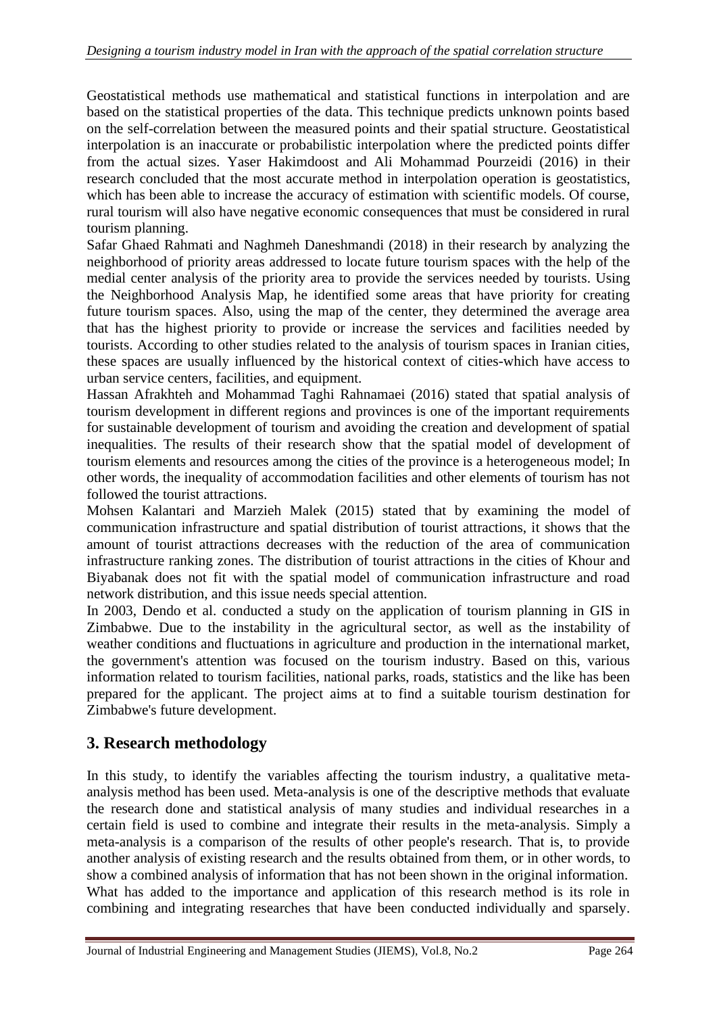Geostatistical methods use mathematical and statistical functions in interpolation and are based on the statistical properties of the data. This technique predicts unknown points based on the self-correlation between the measured points and their spatial structure. Geostatistical interpolation is an inaccurate or probabilistic interpolation where the predicted points differ from the actual sizes. Yaser Hakimdoost and Ali Mohammad Pourzeidi (2016) in their research concluded that the most accurate method in interpolation operation is geostatistics, which has been able to increase the accuracy of estimation with scientific models. Of course, rural tourism will also have negative economic consequences that must be considered in rural tourism planning.

Safar Ghaed Rahmati and Naghmeh Daneshmandi (2018) in their research by analyzing the neighborhood of priority areas addressed to locate future tourism spaces with the help of the medial center analysis of the priority area to provide the services needed by tourists. Using the Neighborhood Analysis Map, he identified some areas that have priority for creating future tourism spaces. Also, using the map of the center, they determined the average area that has the highest priority to provide or increase the services and facilities needed by tourists. According to other studies related to the analysis of tourism spaces in Iranian cities, these spaces are usually influenced by the historical context of cities-which have access to urban service centers, facilities, and equipment.

Hassan Afrakhteh and Mohammad Taghi Rahnamaei (2016) stated that spatial analysis of tourism development in different regions and provinces is one of the important requirements for sustainable development of tourism and avoiding the creation and development of spatial inequalities. The results of their research show that the spatial model of development of tourism elements and resources among the cities of the province is a heterogeneous model; In other words, the inequality of accommodation facilities and other elements of tourism has not followed the tourist attractions.

Mohsen Kalantari and Marzieh Malek (2015) stated that by examining the model of communication infrastructure and spatial distribution of tourist attractions, it shows that the amount of tourist attractions decreases with the reduction of the area of communication infrastructure ranking zones. The distribution of tourist attractions in the cities of Khour and Biyabanak does not fit with the spatial model of communication infrastructure and road network distribution, and this issue needs special attention.

In 2003, Dendo et al. conducted a study on the application of tourism planning in GIS in Zimbabwe. Due to the instability in the agricultural sector, as well as the instability of weather conditions and fluctuations in agriculture and production in the international market, the government's attention was focused on the tourism industry. Based on this, various information related to tourism facilities, national parks, roads, statistics and the like has been prepared for the applicant. The project aims at to find a suitable tourism destination for Zimbabwe's future development.

## **3. Research methodology**

In this study, to identify the variables affecting the tourism industry, a qualitative metaanalysis method has been used. Meta-analysis is one of the descriptive methods that evaluate the research done and statistical analysis of many studies and individual researches in a certain field is used to combine and integrate their results in the meta-analysis. Simply a meta-analysis is a comparison of the results of other people's research. That is, to provide another analysis of existing research and the results obtained from them, or in other words, to show a combined analysis of information that has not been shown in the original information. What has added to the importance and application of this research method is its role in combining and integrating researches that have been conducted individually and sparsely.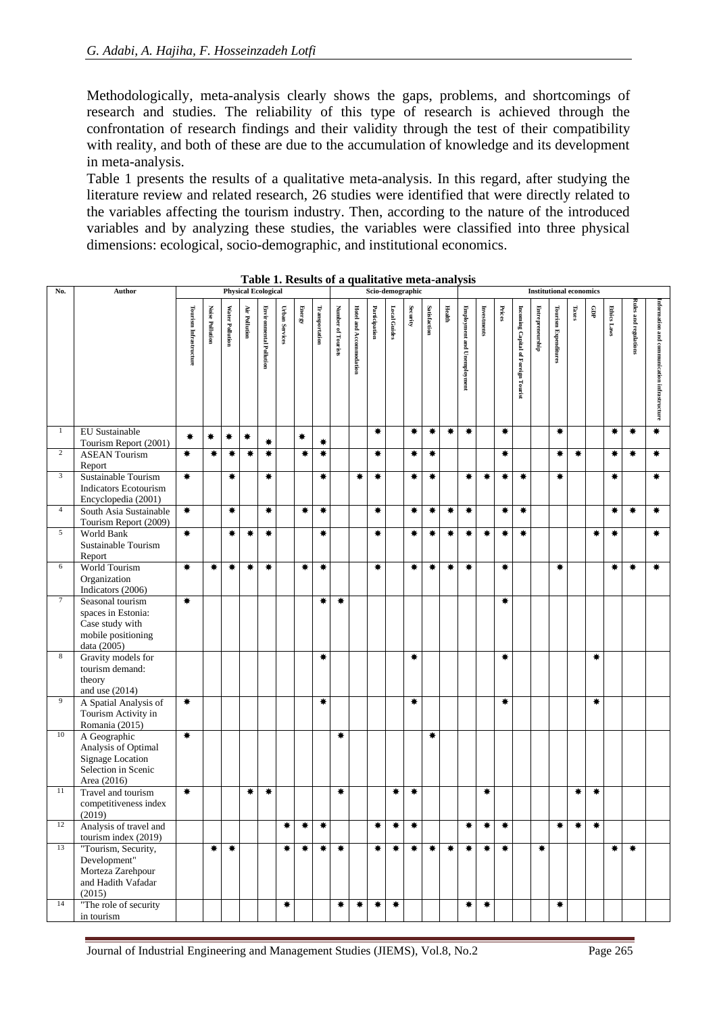Methodologically, meta-analysis clearly shows the gaps, problems, and shortcomings of research and studies. The reliability of this type of research is achieved through the confrontation of research findings and their validity through the test of their compatibility with reality, and both of these are due to the accumulation of knowledge and its development in meta-analysis.

Table 1 presents the results of a qualitative meta-analysis. In this regard, after studying the literature review and related research, 26 studies were identified that were directly related to the variables affecting the tourism industry. Then, according to the nature of the introduced variables and by analyzing these studies, the variables were classified into three physical dimensions: ecological, socio-demographic, and institutional economics.

| No.            | Author                                                                                               |                        |                        |                 | <b>Physical Ecological</b> |                                |                       |                                  |                |                    |                         |               |              | Scio-demographic |              |        |                             | <b>Institutional economics</b> |        |                                     |                  |                             |       |        |                    |                       |                                              |
|----------------|------------------------------------------------------------------------------------------------------|------------------------|------------------------|-----------------|----------------------------|--------------------------------|-----------------------|----------------------------------|----------------|--------------------|-------------------------|---------------|--------------|------------------|--------------|--------|-----------------------------|--------------------------------|--------|-------------------------------------|------------------|-----------------------------|-------|--------|--------------------|-----------------------|----------------------------------------------|
|                |                                                                                                      | Tourism Infrastructure | <b>Noise Pollution</b> | Water Pollution | Air Pollution              | <b>Environmental Pollution</b> | <b>Urban Services</b> | ${\bf E}{\bf net}{\bf g}{\bf v}$ | Transportation | Number of Tourists | Hotel and Accommodation | Participation | Local Guides | Security         | Satisfaction | Health | Employment and Unemployment | Investments                    | Prices | Incoming Capital of Foreign Tourist | Entrepreneurship | <b>Tourism Expenditures</b> | Taxes | ę      | <b>Ethics Laws</b> | Rules and regulations | information and communication infrastructure |
| $\mathbf{1}$   | EU Sustainable<br>Tourism Report (2001)                                                              | ₩                      | ₩                      | ₩               | ₩                          | ₩                              |                       | ₩                                | ₩              |                    |                         | ₩             |              | ₩                | ₩            | $\ast$ | ₩                           |                                | ₩      |                                     |                  | ₩                           |       |        | ₩                  | ₩                     | ₩                                            |
| $\overline{c}$ | <b>ASEAN Tourism</b><br>Report                                                                       | ₩                      | ₩                      | ₩               | ₩                          | ₩                              |                       | ₩                                | $\ast$         |                    |                         | ₩             |              | ₩                | ₩            |        |                             |                                | ₩      |                                     |                  | ₩                           | ₩     |        | ₩                  | ₩.                    | ₩                                            |
| $\mathfrak{Z}$ | Sustainable Tourism<br><b>Indicators Ecotourism</b><br>Encyclopedia (2001)                           | ₩.                     |                        | ₩               |                            | ₩                              |                       |                                  | ₩              |                    | ₩                       | ₩             |              | ₩                | ₩            |        | ₩                           | ₩                              | ₩      | ₩                                   |                  | ₩                           |       |        | ₩                  |                       | ₩                                            |
| $\overline{4}$ | South Asia Sustainable<br>Tourism Report (2009)                                                      | ₩.                     |                        | $\ast$          |                            | $\ast$                         |                       | ₩.                               | ₩              |                    |                         | ₩             |              | ₩                | ₩            | $\ast$ | ₩                           |                                | ₩      | ₩                                   |                  |                             |       |        | ₩                  | ₩                     | ₩                                            |
| $\sqrt{5}$     | World Bank<br>Sustainable Tourism<br>Report                                                          | ₩                      |                        | ₩               | ₩                          | ₩                              |                       |                                  | ₩              |                    |                         | ₩             |              | ₩                | ₩            | ₩      | ₩                           | ₩                              | ₩      | ₩                                   |                  |                             |       | ₩      | ₩                  |                       | ₩                                            |
| 6              | World Tourism<br>Organization<br>Indicators (2006)                                                   | ₩                      | ₩                      | ₩               | ₩                          | ₩                              |                       | ₩                                | ₩              |                    |                         | ₩             |              | ₩                | ₩            | ₩      | ₩                           |                                | ₩      |                                     |                  | ₩                           |       |        | ₩                  | ₩                     | ₩.                                           |
| $\tau$         | Seasonal tourism<br>spaces in Estonia:<br>Case study with<br>mobile positioning<br>data (2005)       | $\ast$                 |                        |                 |                            |                                |                       |                                  | ₩              | ₩                  |                         |               |              |                  |              |        |                             |                                | ₩      |                                     |                  |                             |       |        |                    |                       |                                              |
| $\,8\,$        | Gravity models for<br>tourism demand:<br>theory<br>and use $(2014)$                                  |                        |                        |                 |                            |                                |                       |                                  | ₩              |                    |                         |               |              | ₩                |              |        |                             |                                | ₩      |                                     |                  |                             |       | ₩      |                    |                       |                                              |
| 9              | A Spatial Analysis of<br>Tourism Activity in<br>Romania (2015)                                       | ₩                      |                        |                 |                            |                                |                       |                                  | ₩              |                    |                         |               |              | ₩                |              |        |                             |                                | ₩      |                                     |                  |                             |       | ₩      |                    |                       |                                              |
| 10             | A Geographic<br>Analysis of Optimal<br><b>Signage Location</b><br>Selection in Scenic<br>Area (2016) | ₩                      |                        |                 |                            |                                |                       |                                  |                | ₩                  |                         |               |              |                  | ₩            |        |                             |                                |        |                                     |                  |                             |       |        |                    |                       |                                              |
| 11             | Travel and tourism<br>competitiveness index<br>(2019)                                                | ₩                      |                        |                 | ₩                          | ₩                              |                       |                                  |                | ₩                  |                         |               | ₩            | ₩                |              |        |                             | ₩                              |        |                                     |                  |                             | ₩     | ₩      |                    |                       |                                              |
| 12             | Analysis of travel and<br>tourism index (2019)                                                       |                        |                        |                 |                            |                                | ₩                     | ₩.                               | ₩              |                    |                         | ₩             | $\ast$       | $\ast$           |              |        | ₩                           | ₩                              | ₩      |                                     |                  | ₩                           | ₩     | $\ast$ |                    |                       |                                              |
| 13             | "Tourism, Security,<br>Development"<br>Morteza Zarehpour<br>and Hadith Vafadar<br>(2015)             |                        | ₩                      | ₩.              |                            |                                | ₩                     | ₩.                               | $\ast$         | $\ast$             |                         | ₩.            | ₩.           | ₩.               | $\ast$       | ₩.     | $\ast$                      | $\ast$                         | ₩      |                                     | ₩                |                             |       |        | ₩.                 | $\ast$                |                                              |
| 14             | "The role of security<br>in tourism                                                                  |                        |                        |                 |                            |                                | ₩                     |                                  |                | ₩                  | ₩                       | ₩             | ₩.           |                  |              |        | ₩                           | ₩                              |        |                                     |                  | ₩.                          |       |        |                    |                       |                                              |

**Table 1. Results of a qualitative meta-analysis**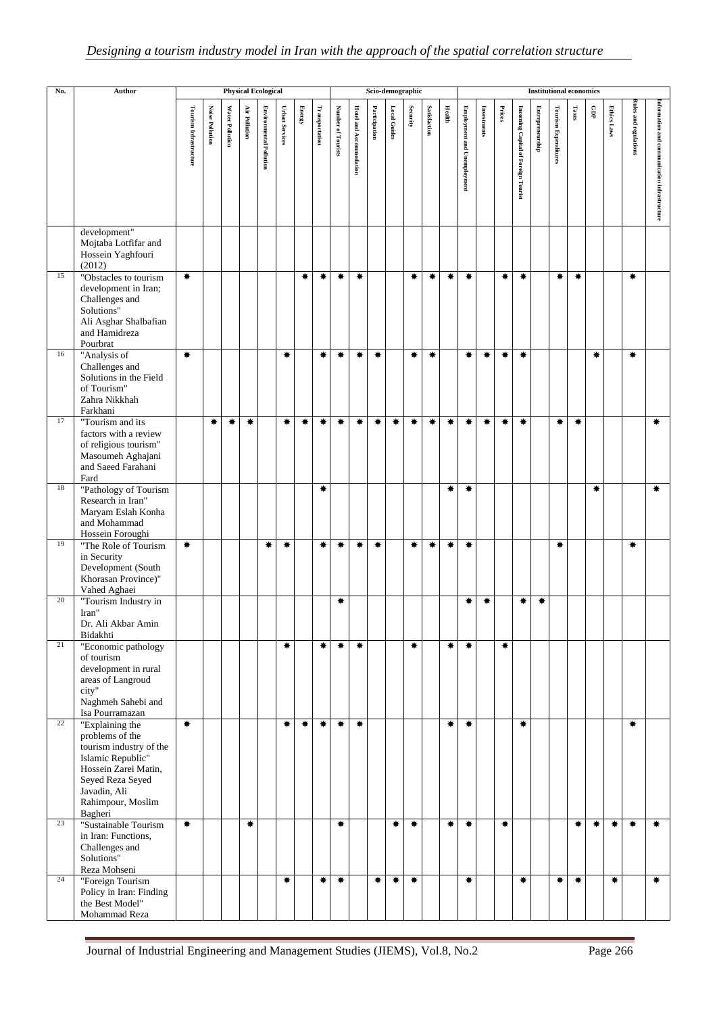| No. | Author                                                                                                                                                                         | <b>Physical Ecological</b><br>Scio-demographic<br><b>Institutional economics</b> |                        |                 |                      |                                |                       |                                        |                |                    |                                |               |              |          |              |                   |                             |             |        |                                     |                  |                             |        |             |                    |                              |                                              |
|-----|--------------------------------------------------------------------------------------------------------------------------------------------------------------------------------|----------------------------------------------------------------------------------|------------------------|-----------------|----------------------|--------------------------------|-----------------------|----------------------------------------|----------------|--------------------|--------------------------------|---------------|--------------|----------|--------------|-------------------|-----------------------------|-------------|--------|-------------------------------------|------------------|-----------------------------|--------|-------------|--------------------|------------------------------|----------------------------------------------|
|     |                                                                                                                                                                                | Tourism Infrastructure                                                           | <b>Noise Pollution</b> | Water Pollution | <b>Air Pollution</b> | <b>Environmental Pollution</b> | <b>Urban Services</b> | ${\bf E}{\bf ne}{\bf r}{\bf g}{\bf y}$ | Transportation | Number of Tourists | <b>Hotel and Accommodation</b> | Participation | Local Guides | Security | Satisfaction | <b>Health</b>     | Employment and Unemployment | Investments | Prices | Incoming Capital of Foreign Tourist | Entrepreneurship | <b>Tourism Expenditures</b> | Taxes  | $_{\rm qD}$ | <b>Ethics Laws</b> | <b>Rules and regulations</b> | information and communication infrastructure |
|     | development"<br>Mojtaba Lotfifar and<br>Hossein Yaghfouri<br>(2012)                                                                                                            |                                                                                  |                        |                 |                      |                                |                       |                                        |                |                    |                                |               |              |          |              |                   |                             |             |        |                                     |                  |                             |        |             |                    |                              |                                              |
| 15  | "Obstacles to tourism<br>development in Iran;<br>Challenges and<br>Solutions"<br>Ali Asghar Shalbafian<br>and Hamidreza<br>Pourbrat                                            | $\ast$                                                                           |                        |                 |                      |                                |                       | ₩                                      | ₩              | ₩                  | ₩                              |               |              | ₩.       | ₩            | ₩                 | ₩                           |             | ₩      | ₩.                                  |                  | ₩                           | $\ast$ |             |                    | ₩                            |                                              |
| 16  | "Analysis of<br>Challenges and<br>Solutions in the Field<br>of Tourism"<br>Zahra Nikkhah<br>Farkhani                                                                           | $\ast$                                                                           |                        |                 |                      |                                | ₩                     |                                        | ₩              | ₩                  | ₩                              | ₩             |              | ₩.       | ₩            |                   | ₩                           | ₩           | ₩      | ₩                                   |                  |                             |        | ₩           |                    | ₩                            |                                              |
| 17  | "Tourism and its<br>factors with a review<br>of religious tourism"<br>Masoumeh Aghajani<br>and Saeed Farahani<br>Fard                                                          |                                                                                  | ₩                      | ₩               | ₩                    |                                | $\ast$                | ₩                                      | $\ast$         | ₩                  | ₩                              | ₩             | ₩.           | ₩.       | ₩            | $\ast$            | ₩                           | ₩           | ₩      | ₩                                   |                  | ₩                           | $\ast$ |             |                    |                              | ₩                                            |
| 18  | "Pathology of Tourism<br>Research in Iran"<br>Maryam Eslah Konha<br>and Mohammad<br>Hossein Foroughi                                                                           |                                                                                  |                        |                 |                      |                                |                       |                                        | 兼              |                    |                                |               |              |          |              | ₩                 | ₩                           |             |        |                                     |                  |                             |        | ₩           |                    |                              | ₩                                            |
| 19  | "The Role of Tourism<br>in Security<br>Development (South<br>Khorasan Province)"<br>Vahed Aghaei                                                                               | ₩                                                                                |                        |                 |                      | ₩                              | ₩                     |                                        | ₩              | ₩                  | ₩                              | ₩             |              | ₩        | ₩            | ₩                 | ₩                           |             |        |                                     |                  | ₩                           |        |             |                    | ₩                            |                                              |
| 20  | "Tourism Industry in<br>Iran"<br>Dr. Ali Akbar Amin<br>Bidakhti                                                                                                                |                                                                                  |                        |                 |                      |                                |                       |                                        |                | ₩                  |                                |               |              |          |              |                   | ₩                           | ₩           |        | ₩                                   | ₩                |                             |        |             |                    |                              |                                              |
| 21  | "Economic pathology<br>of tourism<br>development in rural<br>areas of Langroud<br>city"<br>Naghmeh Sahebi and<br>Isa Pourramazan                                               |                                                                                  |                        |                 |                      |                                | ₩                     |                                        | ₩              | ₩                  | ₩                              |               |              | ₩.       |              | ₩.                | ₩                           |             | ₩      |                                     |                  |                             |        |             |                    |                              |                                              |
| 22  | "Explaining the<br>problems of the<br>tourism industry of the<br>Islamic Republic"<br>Hossein Zarei Matin,<br>Seyed Reza Seyed<br>Javadin, Ali<br>Rahimpour, Moslim<br>Bagheri | $\overline{\ast}$                                                                |                        |                 |                      |                                | $\ast$                | ₩.                                     | $\ast$         | ₩                  | $\ast$                         |               |              |          |              | $\ast$            | $\ast$                      |             |        | ₩.                                  |                  |                             |        |             |                    | ₩                            |                                              |
| 23  | "Sustainable Tourism<br>in Iran: Functions,<br>Challenges and<br>Solutions"<br>Reza Mohseni                                                                                    | $\ast$                                                                           |                        |                 | ₩                    |                                |                       |                                        |                | ₩                  |                                |               | ₩            | ₩.       |              | $\overline{\ast}$ | $\ast$                      |             | ₩      |                                     |                  |                             | ₩      | ₩.          | ₩                  | 兼                            | ₩.                                           |
| 24  | "Foreign Tourism<br>Policy in Iran: Finding<br>the Best Model"<br>Mohammad Reza                                                                                                |                                                                                  |                        |                 |                      |                                | $\ast$                |                                        | ₩              | ₩                  |                                | ₩             | ₩            | ₩        |              |                   | ₩                           |             |        | ₩.                                  |                  | ₩                           | ₩      |             | ₩                  |                              | ₩.                                           |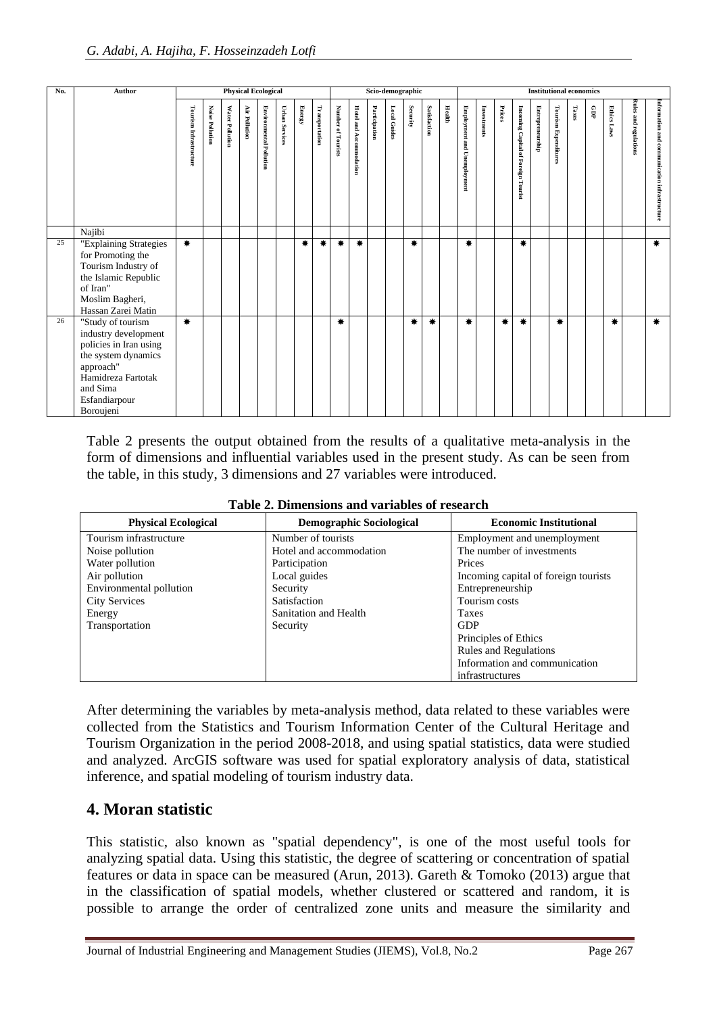| No. | Author                                                                                                                                                                  |                        |                        |                 | <b>Physical Ecological</b> |                                |                       |        |                |                    |                         | Scio-demographic |              |          |              |               | <b>Institutional economics</b> |             |        |                                     |                  |                             |       |     |                    |                              |                                              |
|-----|-------------------------------------------------------------------------------------------------------------------------------------------------------------------------|------------------------|------------------------|-----------------|----------------------------|--------------------------------|-----------------------|--------|----------------|--------------------|-------------------------|------------------|--------------|----------|--------------|---------------|--------------------------------|-------------|--------|-------------------------------------|------------------|-----------------------------|-------|-----|--------------------|------------------------------|----------------------------------------------|
|     |                                                                                                                                                                         | Tourism Infrastructure | <b>Noise Pollution</b> | Water Pollution | Air Pollution              | <b>Environmental Pollution</b> | <b>Urban Services</b> | Energy | Transportation | Number of Tourists | Hotel and Accommodation | Participation    | Local Guides | Security | Satisfaction | <b>Health</b> | Employment and Unemployment    | Investments | Prices | Incoming Capital of Foreign Tourist | Entrepreneurship | <b>Tourism Expenditures</b> | Taxes | GDP | <b>Ethics Laws</b> | <b>Rules and regulations</b> | Information and communication infrastructure |
|     | Najibi                                                                                                                                                                  |                        |                        |                 |                            |                                |                       |        |                |                    |                         |                  |              |          |              |               |                                |             |        |                                     |                  |                             |       |     |                    |                              |                                              |
| 25  | "Explaining Strategies<br>for Promoting the<br>Tourism Industry of<br>the Islamic Republic<br>of Iran"<br>Moslim Bagheri,<br>Hassan Zarei Matin                         | $\ast$                 |                        |                 |                            |                                |                       | 兼      | ₩              | ₩                  | ₩                       |                  |              | ₩        |              |               | 兼                              |             |        | ₩                                   |                  |                             |       |     |                    |                              | $\ast$                                       |
| 26  | "Study of tourism<br>industry development<br>policies in Iran using<br>the system dynamics<br>approach"<br>Hamidreza Fartotak<br>and Sima<br>Esfandiarpour<br>Boroujeni | ₩.                     |                        |                 |                            |                                |                       |        |                | ₩                  |                         |                  |              | ₩        | 兼            |               | 兼                              |             | ₩      | ₩                                   |                  | 兼                           |       |     | ₩                  |                              | ₩.                                           |

Table 2 presents the output obtained from the results of a qualitative meta-analysis in the form of dimensions and influential variables used in the present study. As can be seen from the table, in this study, 3 dimensions and 27 variables were introduced.

| <b>Physical Ecological</b> | <b>Demographic Sociological</b> | <b>Economic Institutional</b>        |
|----------------------------|---------------------------------|--------------------------------------|
| Tourism infrastructure     | Number of tourists              | Employment and unemployment          |
| Noise pollution            | Hotel and accommodation         | The number of investments            |
| Water pollution            | Participation                   | Prices                               |
| Air pollution              | Local guides                    | Incoming capital of foreign tourists |
| Environmental pollution    | Security                        | Entrepreneurship                     |
| <b>City Services</b>       | Satisfaction                    | Tourism costs                        |
| Energy                     | Sanitation and Health           | <b>Taxes</b>                         |
| Transportation             | Security                        | <b>GDP</b>                           |
|                            |                                 | Principles of Ethics                 |
|                            |                                 | <b>Rules and Regulations</b>         |
|                            |                                 | Information and communication        |
|                            |                                 | infrastructures                      |

After determining the variables by meta-analysis method, data related to these variables were collected from the Statistics and Tourism Information Center of the Cultural Heritage and Tourism Organization in the period 2008-2018, and using spatial statistics, data were studied and analyzed. ArcGIS software was used for spatial exploratory analysis of data, statistical inference, and spatial modeling of tourism industry data.

#### **4. Moran statistic**

This statistic, also known as "spatial dependency", is one of the most useful tools for analyzing spatial data. Using this statistic, the degree of scattering or concentration of spatial features or data in space can be measured (Arun, 2013). Gareth & Tomoko (2013) argue that in the classification of spatial models, whether clustered or scattered and random, it is possible to arrange the order of centralized zone units and measure the similarity and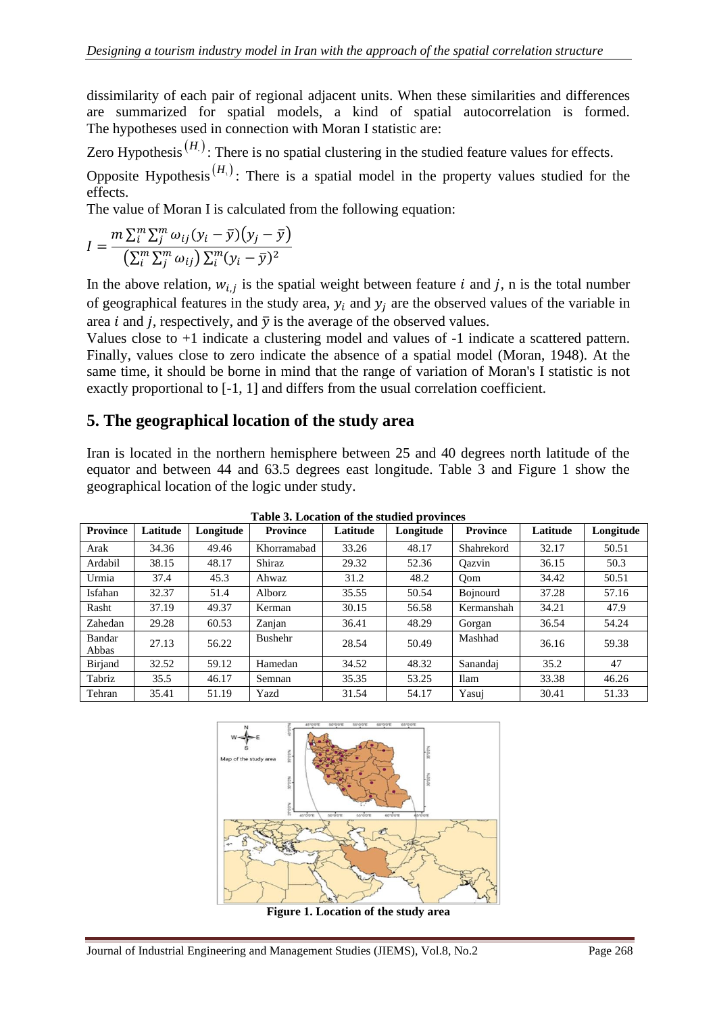dissimilarity of each pair of regional adjacent units. When these similarities and differences are summarized for spatial models, a kind of spatial autocorrelation is formed. The hypotheses used in connection with Moran I statistic are:

Zero Hypothesis<sup>( $H$ </sup>): There is no spatial clustering in the studied feature values for effects.

Opposite Hypothesis<sup>( $H_1$ )</sup>: There is a spatial model in the property values studied for the effects.

The value of Moran I is calculated from the following equation:

$$
I = \frac{m \sum_{i=1}^{m} \sum_{j=1}^{m} \omega_{ij} (y_i - \bar{y})(y_j - \bar{y})}{\left(\sum_{i=1}^{m} \sum_{j=1}^{m} \omega_{ij}\right) \sum_{i=1}^{m} (y_i - \bar{y})^2}
$$

In the above relation,  $w_{i,j}$  is the spatial weight between feature i and j, n is the total number of geographical features in the study area,  $y_i$  and  $y_j$  are the observed values of the variable in area *i* and *j*, respectively, and  $\bar{y}$  is the average of the observed values.

Values close to +1 indicate a clustering model and values of -1 indicate a scattered pattern. Finally, values close to zero indicate the absence of a spatial model (Moran, 1948). At the same time, it should be borne in mind that the range of variation of Moran's I statistic is not exactly proportional to [-1, 1] and differs from the usual correlation coefficient.

#### **5. The geographical location of the study area**

Iran is located in the northern hemisphere between 25 and 40 degrees north latitude of the equator and between 44 and 63.5 degrees east longitude. Table 3 and Figure 1 show the geographical location of the logic under study.

| <b>Province</b> | Latitude | Longitude | <b>Province</b> | Latitude | Longitude | <b>Province</b> | Latitude | Longitude |
|-----------------|----------|-----------|-----------------|----------|-----------|-----------------|----------|-----------|
| Arak            | 34.36    | 49.46     | Khorramabad     | 33.26    | 48.17     | Shahrekord      | 32.17    | 50.51     |
| Ardabil         | 38.15    | 48.17     | Shiraz          | 29.32    | 52.36     | Oazvin          | 36.15    | 50.3      |
| Urmia           | 37.4     | 45.3      | Ahwaz           | 31.2     | 48.2      | Oom             | 34.42    | 50.51     |
| Isfahan         | 32.37    | 51.4      | Alborz          | 35.55    | 50.54     | <b>Bojnourd</b> | 37.28    | 57.16     |
| Rasht           | 37.19    | 49.37     | Kerman          | 30.15    | 56.58     | Kermanshah      | 34.21    | 47.9      |
| Zahedan         | 29.28    | 60.53     | Zanjan          | 36.41    | 48.29     | Gorgan          | 36.54    | 54.24     |
| Bandar<br>Abbas | 27.13    | 56.22     | Bushehr         | 28.54    | 50.49     | Mashhad         | 36.16    | 59.38     |
| Birjand         | 32.52    | 59.12     | Hamedan         | 34.52    | 48.32     | Sanandaj        | 35.2     | 47        |
| Tabriz          | 35.5     | 46.17     | Semnan          | 35.35    | 53.25     | <b>Ilam</b>     | 33.38    | 46.26     |
| Tehran          | 35.41    | 51.19     | Yazd            | 31.54    | 54.17     | Yasui           | 30.41    | 51.33     |

**Table 3. Location of the studied provinces**



**Figure 1. Location of the study area**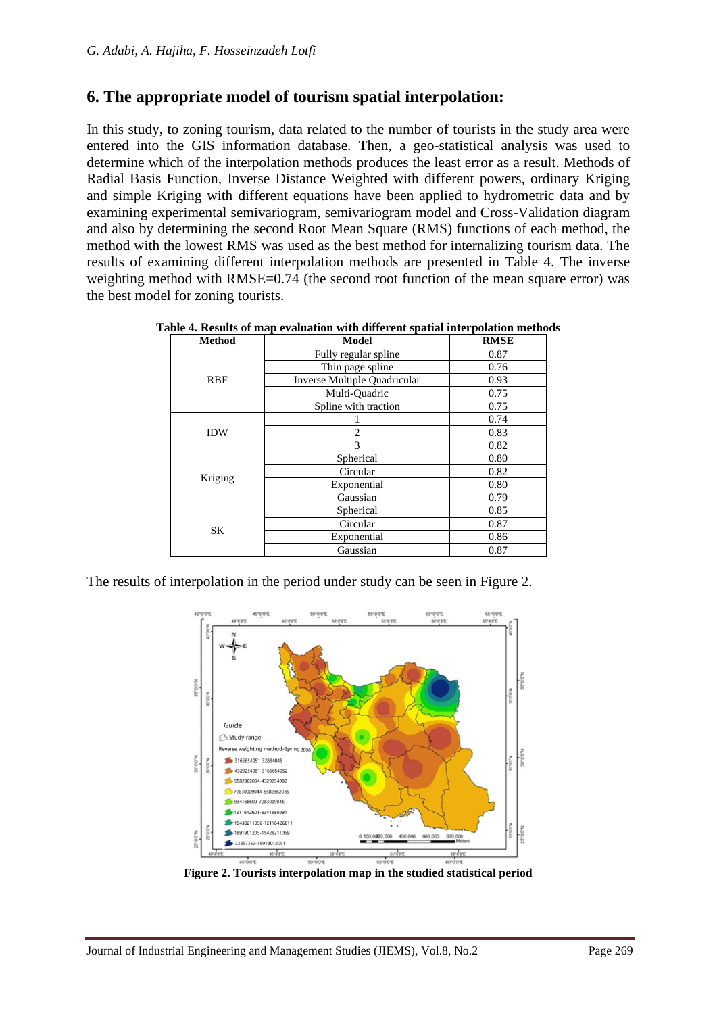### **6. The appropriate model of tourism spatial interpolation:**

In this study, to zoning tourism, data related to the number of tourists in the study area were entered into the GIS information database. Then, a geo-statistical analysis was used to determine which of the interpolation methods produces the least error as a result. Methods of Radial Basis Function, Inverse Distance Weighted with different powers, ordinary Kriging and simple Kriging with different equations have been applied to hydrometric data and by examining experimental semivariogram, semivariogram model and Cross-Validation diagram and also by determining the second Root Mean Square (RMS) functions of each method, the method with the lowest RMS was used as the best method for internalizing tourism data. The results of examining different interpolation methods are presented in Table 4. The inverse weighting method with RMSE=0.74 (the second root function of the mean square error) was the best model for zoning tourists.

**Table 4. Results of map evaluation with different spatial interpolation methods**

| <b>Method</b> | <b>Model</b>                 | <b>RMSE</b> |
|---------------|------------------------------|-------------|
|               | Fully regular spline         | 0.87        |
|               | Thin page spline             | 0.76        |
| <b>RBF</b>    | Inverse Multiple Quadricular | 0.93        |
|               | Multi-Quadric                | 0.75        |
|               | Spline with traction         | 0.75        |
|               |                              | 0.74        |
| <b>IDW</b>    | $\mathfrak{D}$               | 0.83        |
|               | 3                            | 0.82        |
|               | Spherical                    | 0.80        |
| Kriging       | Circular                     | 0.82        |
|               | Exponential                  | 0.80        |
|               | Gaussian                     | 0.79        |
|               | Spherical                    | 0.85        |
| SK            | Circular                     | 0.87        |
|               | Exponential                  | 0.86        |
|               | Gaussian                     | 0.87        |

The results of interpolation in the period under study can be seen in Figure 2.



**Figure 2. Tourists interpolation map in the studied statistical period**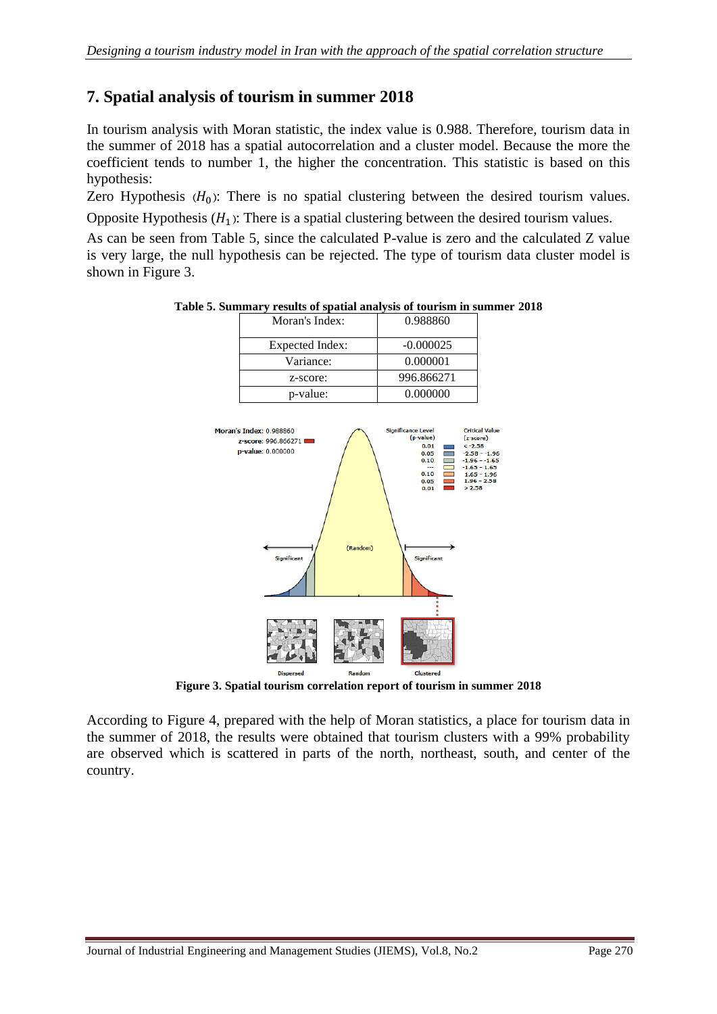#### **7. Spatial analysis of tourism in summer 2018**

In tourism analysis with Moran statistic, the index value is 0.988. Therefore, tourism data in the summer of 2018 has a spatial autocorrelation and a cluster model. Because the more the coefficient tends to number 1, the higher the concentration. This statistic is based on this hypothesis:

Zero Hypothesis  $(H_0)$ : There is no spatial clustering between the desired tourism values. Opposite Hypothesis  $(H_1)$ : There is a spatial clustering between the desired tourism values.

As can be seen from Table 5, since the calculated P-value is zero and the calculated Z value is very large, the null hypothesis can be rejected. The type of tourism data cluster model is shown in Figure 3.

| Moran's Index:                                                                                        | 0.988860                                                                                                                                                     |                                                                                                              |
|-------------------------------------------------------------------------------------------------------|--------------------------------------------------------------------------------------------------------------------------------------------------------------|--------------------------------------------------------------------------------------------------------------|
| <b>Expected Index:</b>                                                                                | $-0.000025$                                                                                                                                                  |                                                                                                              |
| Variance:                                                                                             | 0.000001                                                                                                                                                     |                                                                                                              |
| z-score:                                                                                              | 996.866271                                                                                                                                                   |                                                                                                              |
| p-value:                                                                                              | 0.000000                                                                                                                                                     |                                                                                                              |
| Moran's Index: 0.988860<br>z-score: 996.866271<br>p-value: 0.000000<br>(Random)<br><b>Significant</b> | <b>Significance Level</b><br>(p-value)<br>$(z$ -score $)$<br>0.01<br>$< -2.58$<br>0.05<br>0.10<br>--<br>0.10<br>0.05<br>> 2.58<br>0.01<br><b>Significant</b> | <b>Critical Valu</b><br>$-2.58 - -1.9$<br>$-1.96 - -1.6$<br>$-1.65 - 1.65$<br>$1.65 - 1.96$<br>$1.96 - 2.58$ |
|                                                                                                       |                                                                                                                                                              |                                                                                                              |
|                                                                                                       |                                                                                                                                                              |                                                                                                              |

**Table 5. Summary results of spatial analysis of tourism in summer 2018**

**Figure 3. Spatial tourism correlation report of tourism in summer 2018**

According to Figure 4, prepared with the help of Moran statistics, a place for tourism data in the summer of 2018, the results were obtained that tourism clusters with a 99% probability are observed which is scattered in parts of the north, northeast, south, and center of the country.

**Dispersed**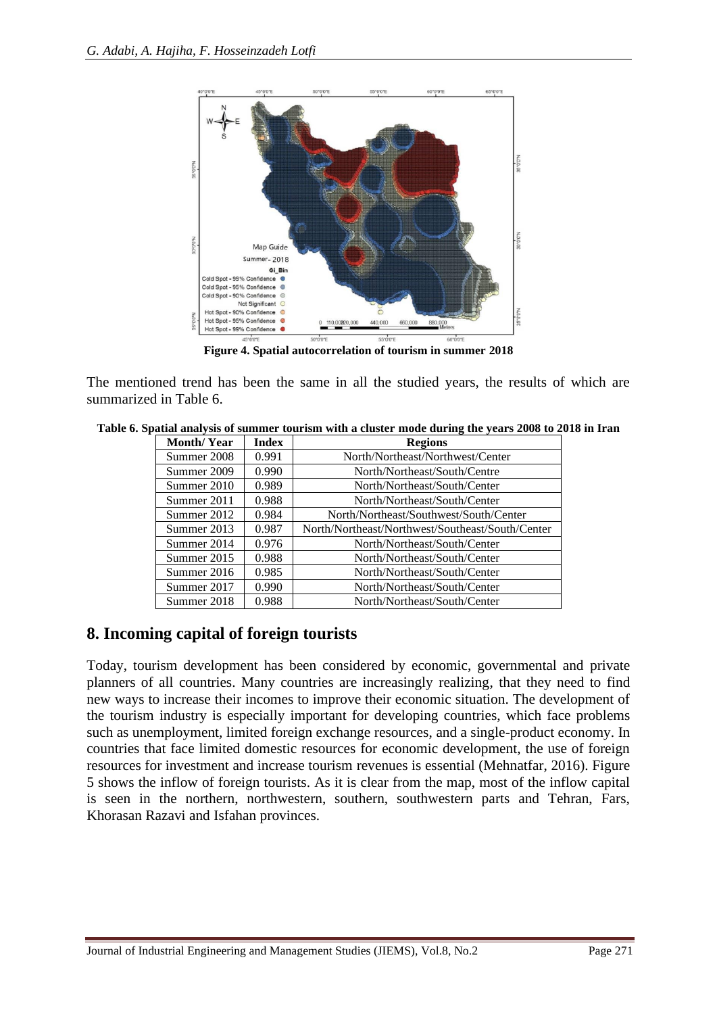

**Figure 4. Spatial autocorrelation of tourism in summer 2018**

The mentioned trend has been the same in all the studied years, the results of which are summarized in Table 6.

**Table 6. Spatial analysis of summer tourism with a cluster mode during the years 2008 to 2018 in Iran**

| <b>Month/Year</b>    | Index | <b>Regions</b>                                   |
|----------------------|-------|--------------------------------------------------|
| Summer 2008          | 0.991 | North/Northeast/Northwest/Center                 |
| Summer 2009          | 0.990 | North/Northeast/South/Centre                     |
| Summer 2010          | 0.989 | North/Northeast/South/Center                     |
| Summer 2011          | 0.988 | North/Northeast/South/Center                     |
| Summer 2012          | 0.984 | North/Northeast/Southwest/South/Center           |
| 0.987<br>Summer 2013 |       | North/Northeast/Northwest/Southeast/South/Center |
| Summer 2014          | 0.976 | North/Northeast/South/Center                     |
| Summer 2015          | 0.988 | North/Northeast/South/Center                     |
| 0.985<br>Summer 2016 |       | North/Northeast/South/Center                     |
| 0.990<br>Summer 2017 |       | North/Northeast/South/Center                     |
| 0.988<br>Summer 2018 |       | North/Northeast/South/Center                     |

#### **8. Incoming capital of foreign tourists**

Today, tourism development has been considered by economic, governmental and private planners of all countries. Many countries are increasingly realizing, that they need to find new ways to increase their incomes to improve their economic situation. The development of the tourism industry is especially important for developing countries, which face problems such as unemployment, limited foreign exchange resources, and a single-product economy. In countries that face limited domestic resources for economic development, the use of foreign resources for investment and increase tourism revenues is essential (Mehnatfar, 2016). Figure 5 shows the inflow of foreign tourists. As it is clear from the map, most of the inflow capital is seen in the northern, northwestern, southern, southwestern parts and Tehran, Fars, Khorasan Razavi and Isfahan provinces.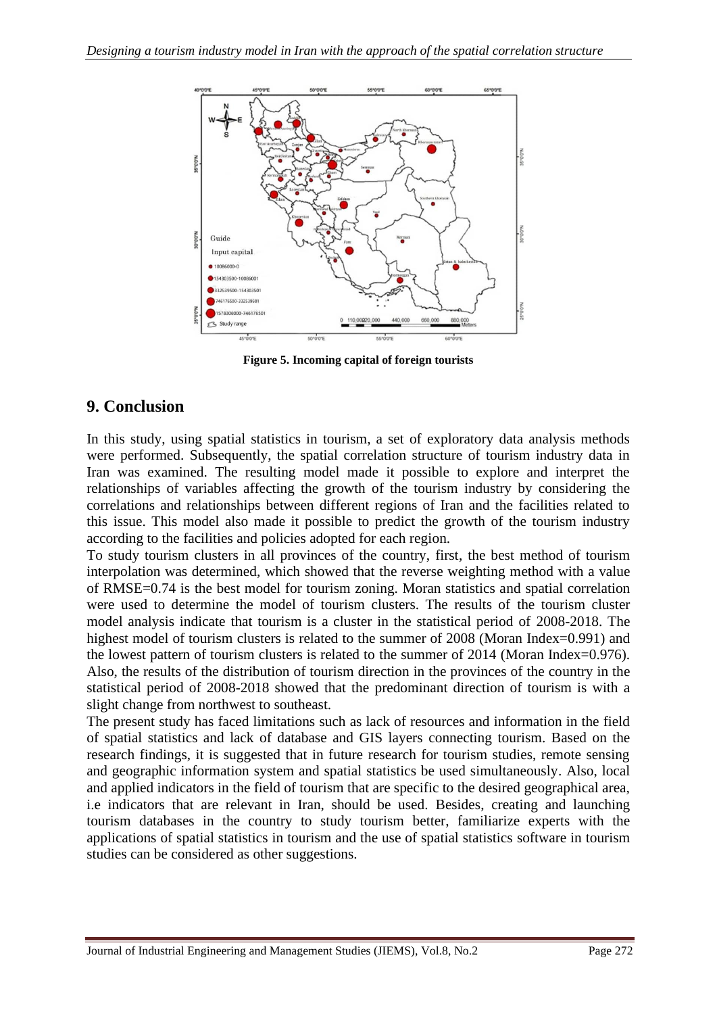

**Figure 5. Incoming capital of foreign tourists**

#### **9. Conclusion**

In this study, using spatial statistics in tourism, a set of exploratory data analysis methods were performed. Subsequently, the spatial correlation structure of tourism industry data in Iran was examined. The resulting model made it possible to explore and interpret the relationships of variables affecting the growth of the tourism industry by considering the correlations and relationships between different regions of Iran and the facilities related to this issue. This model also made it possible to predict the growth of the tourism industry according to the facilities and policies adopted for each region.

To study tourism clusters in all provinces of the country, first, the best method of tourism interpolation was determined, which showed that the reverse weighting method with a value of RMSE=0.74 is the best model for tourism zoning. Moran statistics and spatial correlation were used to determine the model of tourism clusters. The results of the tourism cluster model analysis indicate that tourism is a cluster in the statistical period of 2008-2018. The highest model of tourism clusters is related to the summer of 2008 (Moran Index=0.991) and the lowest pattern of tourism clusters is related to the summer of 2014 (Moran Index=0.976). Also, the results of the distribution of tourism direction in the provinces of the country in the statistical period of 2008-2018 showed that the predominant direction of tourism is with a slight change from northwest to southeast.

The present study has faced limitations such as lack of resources and information in the field of spatial statistics and lack of database and GIS layers connecting tourism. Based on the research findings, it is suggested that in future research for tourism studies, remote sensing and geographic information system and spatial statistics be used simultaneously. Also, local and applied indicators in the field of tourism that are specific to the desired geographical area, i.e indicators that are relevant in Iran, should be used. Besides, creating and launching tourism databases in the country to study tourism better, familiarize experts with the applications of spatial statistics in tourism and the use of spatial statistics software in tourism studies can be considered as other suggestions.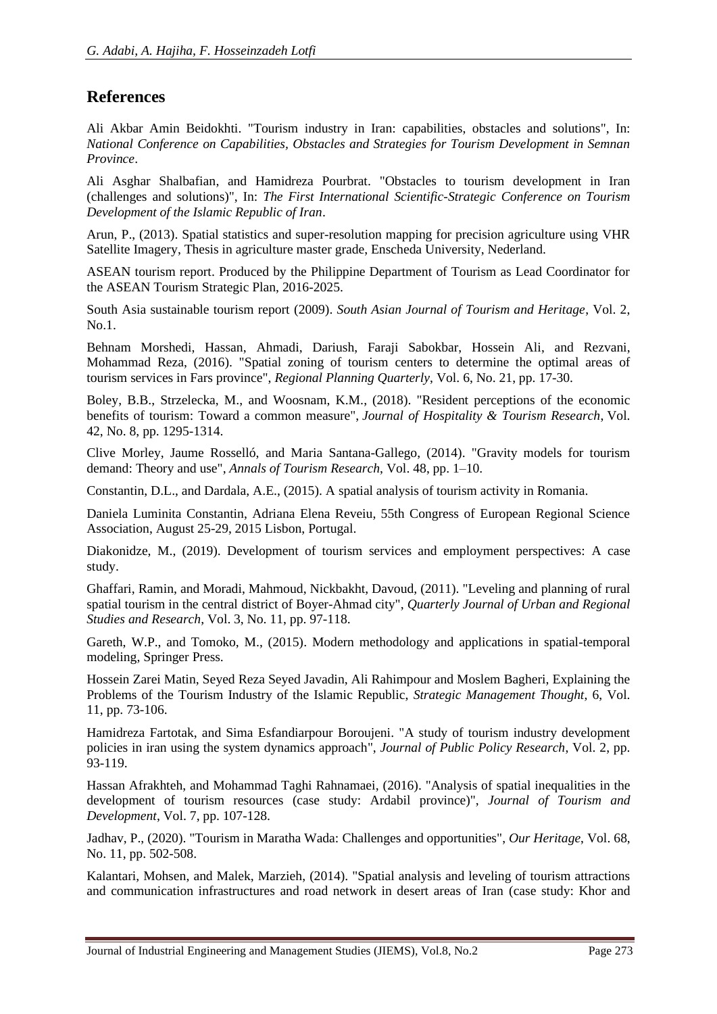### **References**

Ali Akbar Amin Beidokhti. "Tourism industry in Iran: capabilities, obstacles and solutions", In: *National Conference on Capabilities, Obstacles and Strategies for Tourism Development in Semnan Province*.

Ali Asghar Shalbafian, and Hamidreza Pourbrat. "Obstacles to tourism development in Iran (challenges and solutions)", In: *The First International Scientific-Strategic Conference on Tourism Development of the Islamic Republic of Iran*.

Arun, P., (2013). Spatial statistics and super-resolution mapping for precision agriculture using VHR Satellite Imagery, Thesis in agriculture master grade, Enscheda University, Nederland.

ASEAN tourism report. Produced by the Philippine Department of Tourism as Lead Coordinator for the ASEAN Tourism Strategic Plan, 2016-2025.

South Asia sustainable tourism report (2009). *South Asian Journal of Tourism and Heritage*, Vol. 2,  $N<sub>0</sub>1$ 

Behnam Morshedi, Hassan, Ahmadi, Dariush, Faraji Sabokbar, Hossein Ali, and Rezvani, Mohammad Reza, (2016). "Spatial zoning of tourism centers to determine the optimal areas of tourism services in Fars province", *Regional Planning Quarterly*, Vol. 6, No. 21, pp. 17-30.

Boley, B.B., Strzelecka, M., and Woosnam, K.M., (2018). "Resident perceptions of the economic benefits of tourism: Toward a common measure", *Journal of Hospitality & Tourism Research*, Vol. 42, No. 8, pp. 1295-1314.

Clive Morley, Jaume Rosselló, and Maria Santana-Gallego, (2014). "Gravity models for tourism demand: Theory and use", *Annals of Tourism Research*, Vol. 48, pp. 1–10.

Constantin, D.L., and Dardala, A.E., (2015). A spatial analysis of tourism activity in Romania.

Daniela Luminita Constantin, Adriana Elena Reveiu, 55th Congress of European Regional Science Association, August 25-29, 2015 Lisbon, Portugal.

Diakonidze, M., (2019). Development of tourism services and employment perspectives: A case study.

Ghaffari, Ramin, and Moradi, Mahmoud, Nickbakht, Davoud, (2011). "Leveling and planning of rural spatial tourism in the central district of Boyer-Ahmad city", *Quarterly Journal of Urban and Regional Studies and Research*, Vol. 3, No. 11, pp. 97-118.

Gareth, W.P., and Tomoko, M., (2015). Modern methodology and applications in spatial-temporal modeling, Springer Press.

Hossein Zarei Matin, Seyed Reza Seyed Javadin, Ali Rahimpour and Moslem Bagheri, Explaining the Problems of the Tourism Industry of the Islamic Republic, *Strategic Management Thought*, 6, Vol. 11, pp. 73-106.

Hamidreza Fartotak, and Sima Esfandiarpour Boroujeni. "A study of tourism industry development policies in iran using the system dynamics approach", *Journal of Public Policy Research*, Vol. 2, pp. 93-119.

Hassan Afrakhteh, and Mohammad Taghi Rahnamaei, (2016). "Analysis of spatial inequalities in the development of tourism resources (case study: Ardabil province)", *Journal of Tourism and Development*, Vol. 7, pp. 107-128.

Jadhav, P., (2020). "Tourism in Maratha Wada: Challenges and opportunities", *Our Heritage*, Vol. 68, No. 11, pp. 502-508.

Kalantari, Mohsen, and Malek, Marzieh, (2014). "Spatial analysis and leveling of tourism attractions and communication infrastructures and road network in desert areas of Iran (case study: Khor and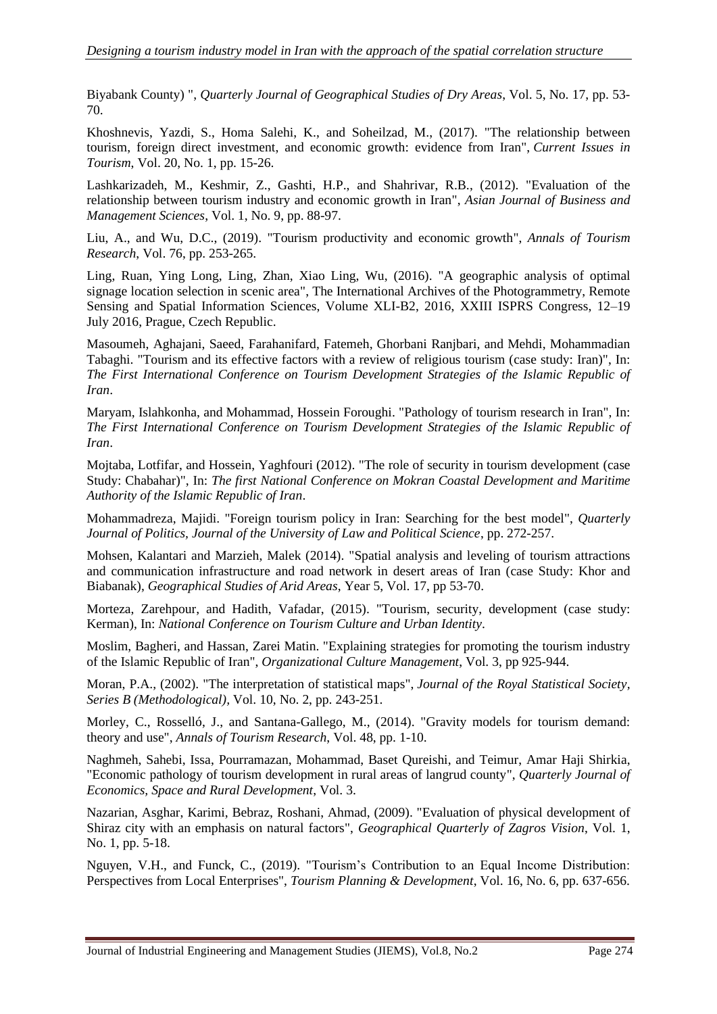Biyabank County) ", *Quarterly Journal of Geographical Studies of Dry Areas*, Vol. 5, No. 17, pp. 53- 70.

Khoshnevis, Yazdi, S., Homa Salehi, K., and Soheilzad, M., (2017). "The relationship between tourism, foreign direct investment, and economic growth: evidence from Iran", *Current Issues in Tourism*, Vol. 20, No. 1, pp. 15-26.

Lashkarizadeh, M., Keshmir, Z., Gashti, H.P., and Shahrivar, R.B., (2012). "Evaluation of the relationship between tourism industry and economic growth in Iran", *Asian Journal of Business and Management Sciences*, Vol. 1, No. 9, pp. 88-97.

Liu, A., and Wu, D.C., (2019). "Tourism productivity and economic growth", *Annals of Tourism Research*, Vol. 76, pp. 253-265.

Ling, Ruan, Ying Long, Ling, Zhan, Xiao Ling, Wu, (2016). "A geographic analysis of optimal signage location selection in scenic area", The International Archives of the Photogrammetry, Remote Sensing and Spatial Information Sciences, Volume XLI-B2, 2016, XXIII ISPRS Congress, 12–19 July 2016, Prague, Czech Republic.

Masoumeh, Aghajani, Saeed, Farahanifard, Fatemeh, Ghorbani Ranjbari, and Mehdi, Mohammadian Tabaghi. "Tourism and its effective factors with a review of religious tourism (case study: Iran)", In: *The First International Conference on Tourism Development Strategies of the Islamic Republic of Iran*.

Maryam, Islahkonha, and Mohammad, Hossein Foroughi. "Pathology of tourism research in Iran", In: *The First International Conference on Tourism Development Strategies of the Islamic Republic of Iran*.

Mojtaba, Lotfifar, and Hossein, Yaghfouri (2012). "The role of security in tourism development (case Study: Chabahar)", In: *The first National Conference on Mokran Coastal Development and Maritime Authority of the Islamic Republic of Iran*.

Mohammadreza, Majidi. "Foreign tourism policy in Iran: Searching for the best model", *Quarterly Journal of Politics, Journal of the University of Law and Political Science*, pp. 272-257.

Mohsen, Kalantari and Marzieh, Malek (2014). "Spatial analysis and leveling of tourism attractions and communication infrastructure and road network in desert areas of Iran (case Study: Khor and Biabanak), *Geographical Studies of Arid Areas*, Year 5, Vol. 17, pp 53-70.

Morteza, Zarehpour, and Hadith, Vafadar, (2015). "Tourism, security, development (case study: Kerman), In: *National Conference on Tourism Culture and Urban Identity*.

Moslim, Bagheri, and Hassan, Zarei Matin. "Explaining strategies for promoting the tourism industry of the Islamic Republic of Iran", *Organizational Culture Management*, Vol. 3, pp 925-944.

Moran, P.A., (2002). "The interpretation of statistical maps", *Journal of the Royal Statistical Society, Series B (Methodological),* Vol. 10, No. 2, pp. 243-251.

Morley, C., Rosselló, J., and Santana-Gallego, M., (2014). "Gravity models for tourism demand: theory and use", *Annals of Tourism Research*, Vol. 48, pp. 1-10.

Naghmeh, Sahebi, Issa, Pourramazan, Mohammad, Baset Qureishi, and Teimur, Amar Haji Shirkia, "Economic pathology of tourism development in rural areas of langrud county", *Quarterly Journal of Economics, Space and Rural Development*, Vol. 3.

Nazarian, Asghar, Karimi, Bebraz, Roshani, Ahmad, (2009). "Evaluation of physical development of Shiraz city with an emphasis on natural factors", *Geographical Quarterly of Zagros Vision*, Vol. 1, No. 1, pp. 5-18.

Nguyen, V.H., and Funck, C., (2019). "Tourism's Contribution to an Equal Income Distribution: Perspectives from Local Enterprises", *Tourism Planning & Development*, Vol. 16, No. 6, pp. 637-656.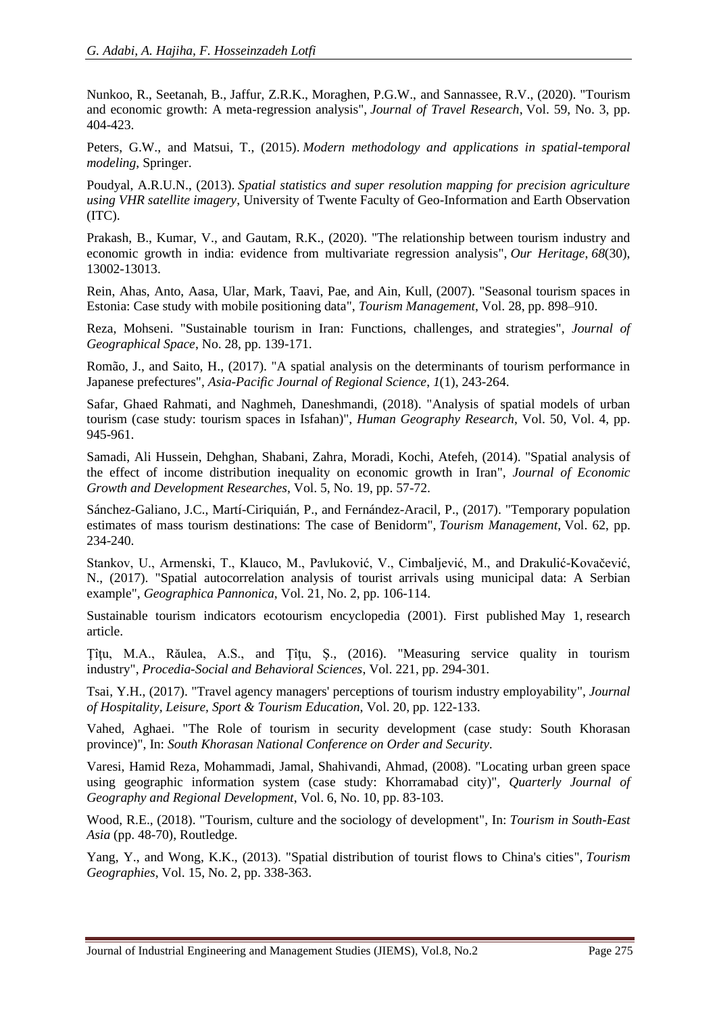Nunkoo, R., Seetanah, B., Jaffur, Z.R.K., Moraghen, P.G.W., and Sannassee, R.V., (2020). "Tourism and economic growth: A meta-regression analysis", *Journal of Travel Research*, Vol. 59, No. 3, pp. 404-423.

Peters, G.W., and Matsui, T., (2015). *Modern methodology and applications in spatial-temporal modeling*, Springer.

Poudyal, A.R.U.N., (2013). *Spatial statistics and super resolution mapping for precision agriculture using VHR satellite imagery*, University of Twente Faculty of Geo-Information and Earth Observation (ITC).

Prakash, B., Kumar, V., and Gautam, R.K., (2020). "The relationship between tourism industry and economic growth in india: evidence from multivariate regression analysis", *Our Heritage*, *68*(30), 13002-13013.

Rein, Ahas, Anto, Aasa, Ular, Mark, Taavi, Pae, and Ain, Kull, (2007). "Seasonal tourism spaces in Estonia: Case study with mobile positioning data", *Tourism Management*, Vol. 28, pp. 898–910.

Reza, Mohseni. "Sustainable tourism in Iran: Functions, challenges, and strategies", *Journal of Geographical Space*, No. 28, pp. 139-171.

Romão, J., and Saito, H., (2017). "A spatial analysis on the determinants of tourism performance in Japanese prefectures", *Asia-Pacific Journal of Regional Science*, *1*(1), 243-264.

Safar, Ghaed Rahmati, and Naghmeh, Daneshmandi, (2018). "Analysis of spatial models of urban tourism (case study: tourism spaces in Isfahan)", *Human Geography Research*, Vol. 50, Vol. 4, pp. 945-961.

Samadi, Ali Hussein, Dehghan, Shabani, Zahra, Moradi, Kochi, Atefeh, (2014). "Spatial analysis of the effect of income distribution inequality on economic growth in Iran", *Journal of Economic Growth and Development Researches*, Vol. 5, No. 19, pp. 57-72.

Sánchez-Galiano, J.C., Martí-Ciriquián, P., and Fernández-Aracil, P., (2017). "Temporary population estimates of mass tourism destinations: The case of Benidorm", *Tourism Management*, Vol. 62, pp. 234-240.

Stankov, U., Armenski, T., Klauco, M., Pavluković, V., Cimbaljević, M., and Drakulić-Kovačević, N., (2017). "Spatial autocorrelation analysis of tourist arrivals using municipal data: A Serbian example", *Geographica Pannonica*, Vol. 21, No. 2, pp. 106-114.

Sustainable tourism indicators ecotourism encyclopedia (2001). First published May 1, research article.

Ţîţu, M.A., Răulea, A.S., and Ţîţu, Ş., (2016). "Measuring service quality in tourism industry", *Procedia-Social and Behavioral Sciences*, Vol. 221, pp. 294-301.

Tsai, Y.H., (2017). "Travel agency managers' perceptions of tourism industry employability", *Journal of Hospitality, Leisure, Sport & Tourism Education*, Vol. 20, pp. 122-133.

Vahed, Aghaei. "The Role of tourism in security development (case study: South Khorasan province)", In: *South Khorasan National Conference on Order and Security.*

Varesi, Hamid Reza, Mohammadi, Jamal, Shahivandi, Ahmad, (2008). "Locating urban green space using geographic information system (case study: Khorramabad city)", *Quarterly Journal of Geography and Regional Development*, Vol. 6, No. 10, pp. 83-103.

Wood, R.E., (2018). "Tourism, culture and the sociology of development", In: *Tourism in South-East Asia* (pp. 48-70), Routledge.

Yang, Y., and Wong, K.K., (2013). "Spatial distribution of tourist flows to China's cities", *Tourism Geographies*, Vol. 15, No. 2, pp. 338-363.